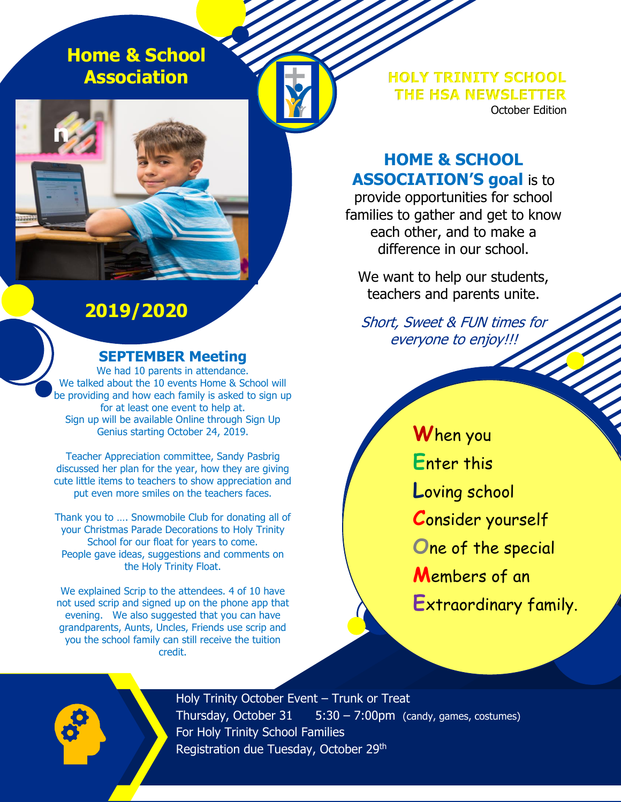**Home & School Association**

**n**

**HOLY TRINITY SCHOOL THE HSA NEWSLETTER** October Edition

## **HOME & SCHOOL ASSOCIATION'S goal** is to

provide opportunities for school families to gather and get to know each other, and to make a difference in our school.

We want to help our students, teachers and parents unite.

Short, Sweet & FUN times for<br>everyone to enjoy!!!<br>And the state of the state of the state of the state of the state of the state of the state of the state of the state of the state of the state of the state of the state of everyone to enjoy!!!

**W**hen you **E**nter this **L**oving school **C**onsider yourself **O**ne of the special **M**embers of an **E**xtraordinary family.

# **2019/2020**

#### **SEPTEMBER Meeting**

We had 10 parents in attendance. We talked about the 10 events Home & School will be providing and how each family is asked to sign up for at least one event to help at. Sign up will be available Online through Sign Up Genius starting October 24, 2019.

Teacher Appreciation committee, Sandy Pasbrig discussed her plan for the year, how they are giving cute little items to teachers to show appreciation and put even more smiles on the teachers faces.

Thank you to …. Snowmobile Club for donating all of your Christmas Parade Decorations to Holy Trinity School for our float for years to come. People gave ideas, suggestions and comments on the Holy Trinity Float.

We explained Scrip to the attendees. 4 of 10 have not used scrip and signed up on the phone app that evening. We also suggested that you can have grandparents, Aunts, Uncles, Friends use scrip and you the school family can still receive the tuition credit.

> Holy Trinity October Event – Trunk or Treat Thursday, October  $31 - 5:30 - 7:00$ pm (candy, games, costumes) For Holy Trinity School Families Registration due Tuesday, October 29<sup>th</sup>